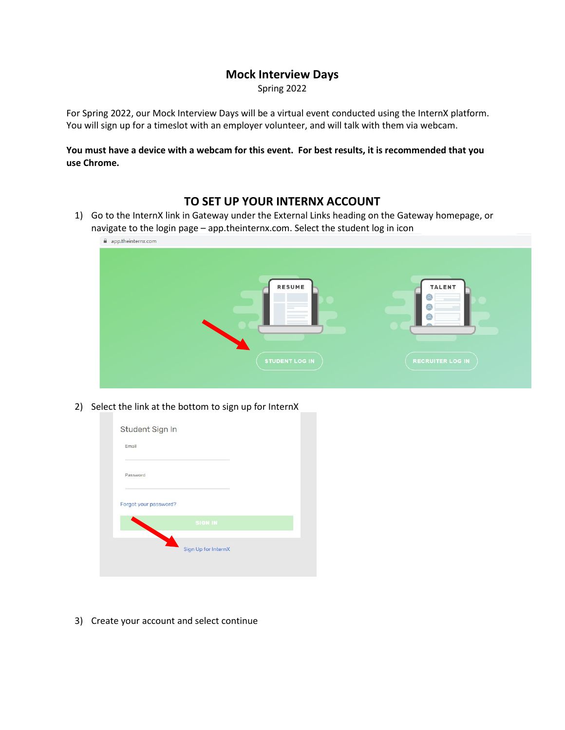# **Mock Interview Days**

Spring 2022

For Spring 2022, our Mock Interview Days will be a virtual event conducted using the InternX platform. You will sign up for a timeslot with an employer volunteer, and will talk with them via webcam.

**You must have a device with a webcam for this event. For best results, it is recommended that you use Chrome.**

## **TO SET UP YOUR INTERNX ACCOUNT**

1) Go to the InternX link in Gateway under the External Links heading on the Gateway homepage, or navigate to the login page – app.theinternx.com. Select the student log in icon



2) Select the link at the bottom to sign up for InternX

| Email                 |                     |  |
|-----------------------|---------------------|--|
| Password              |                     |  |
| Forgot your password? |                     |  |
|                       | <b>SIGN IN</b>      |  |
|                       | Sign Up for InternX |  |

3) Create your account and select continue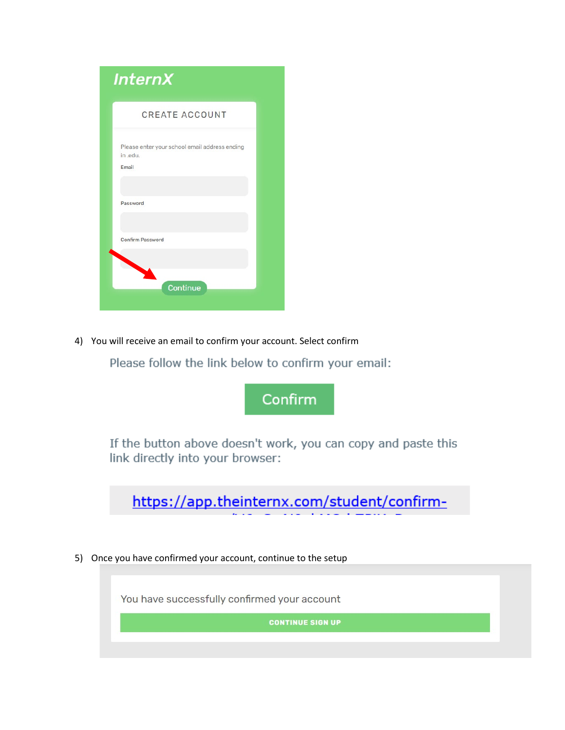| <b>InternX</b>                                                     |  |
|--------------------------------------------------------------------|--|
| <b>CREATE ACCOUNT</b>                                              |  |
| Please enter your school email address ending<br>in .edu.<br>Email |  |
| Password                                                           |  |
| <b>Confirm Password</b>                                            |  |
| Continue                                                           |  |

4) You will receive an email to confirm your account. Select confirm

Please follow the link below to confirm your email:



If the button above doesn't work, you can copy and paste this link directly into your browser:

https://app.theinternx.com/student/confirm-

5) Once you have confirmed your account, continue to the setup

You have successfully confirmed your account

**CONTINUE SIGN UP**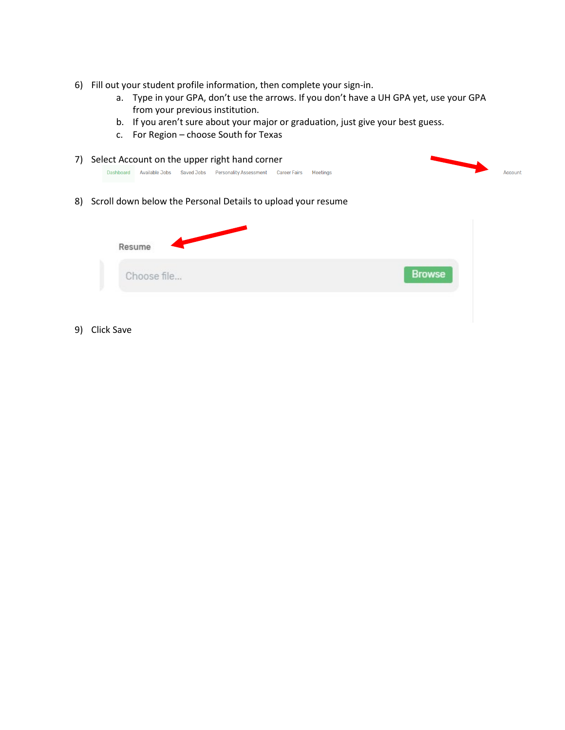- 6) Fill out your student profile information, then complete your sign-in.
	- a. Type in your GPA, don't use the arrows. If you don't have a UH GPA yet, use your GPA from your previous institution.
	- b. If you aren't sure about your major or graduation, just give your best guess.
	- c. For Region choose South for Texas
- 7) Select Account on the upper right hand corner



8) Scroll down below the Personal Details to upload your resume

Dashboard Available Jobs Saved Jobs Personality Assessment Career Fairs Meetings



9) Click Save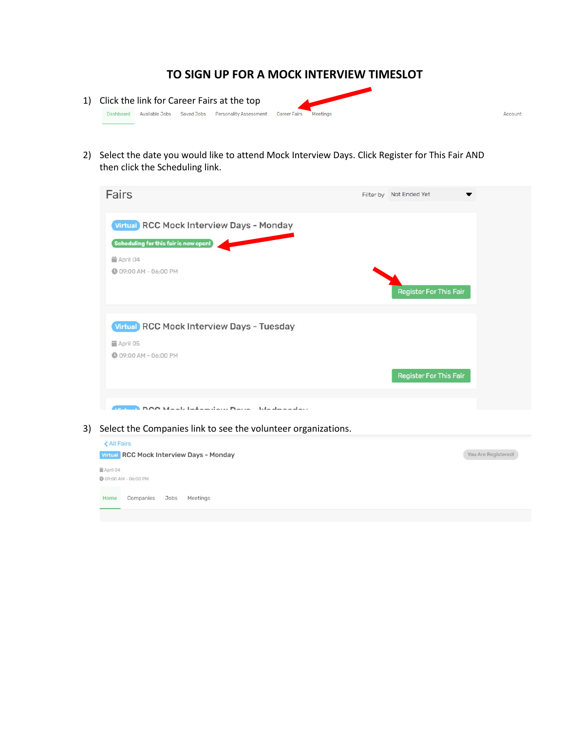

- 1) Click the link for Career Fairs at the top Dashboard Available Jobs Saved Jobs Personality Assessment Career Fairs Meetings
- 2) Select the date you would like to attend Mock Interview Days. Click Register for This Fair AND then click the Scheduling link.

| Fairs                                                      | Filter by Not Ended Yet       |
|------------------------------------------------------------|-------------------------------|
| Virtual RCC Mock Interview Days - Monday                   |                               |
| Scheduling for this fair is now open!<br><b>■ April 04</b> |                               |
| <b>@ 09:00 AM - 06:00 PM</b>                               | <b>Register For This Fair</b> |
| Virtual RCC Mock Interview Days - Tuesday                  |                               |
| April 05                                                   |                               |
| © 09:00 AM - 06:00 PM                                      |                               |
|                                                            | Register For This Fair        |
| DCC Mook Intomiour Dove Wodnoodov                          |                               |
|                                                            |                               |



Account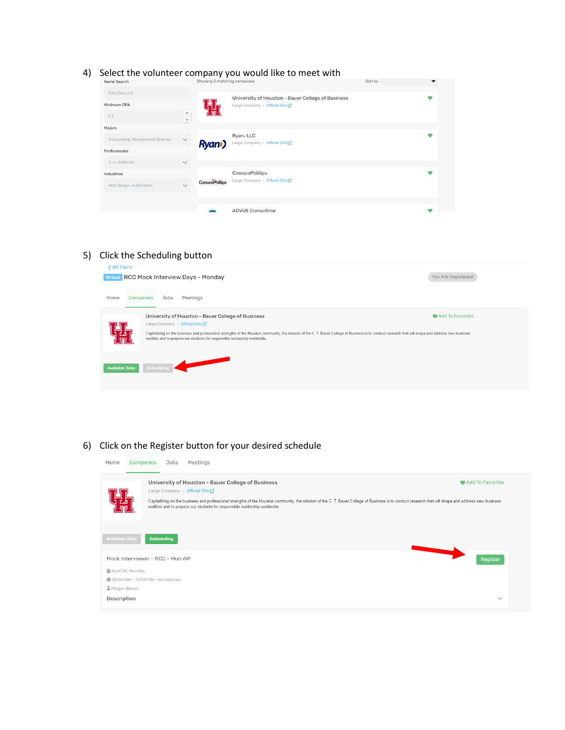4) Select the volunteer company you would like to meet with

| Name Search                    |                                    | Showing 5 matching companies |                                                   | Sort by | $\overline{\phantom{a}}$ |
|--------------------------------|------------------------------------|------------------------------|---------------------------------------------------|---------|--------------------------|
| John Doe LLC                   |                                    |                              | University of Houston - Bauer College of Business |         |                          |
| Minimum GPA                    |                                    |                              | Large Company · Official Site                     |         |                          |
| 2.3                            | $\hat{\phantom{a}}$<br>$\check{~}$ |                              |                                                   |         |                          |
| Majors                         |                                    |                              |                                                   |         |                          |
| Accounting, Management Science | $\checkmark$                       | <b>Ryant</b> )               | Ryan, LLC<br>Large Company · Official Site        |         |                          |
| Proficiencies                  |                                    |                              |                                                   |         |                          |
| C++, AutoCAD                   | $\checkmark$                       |                              |                                                   |         |                          |
| Industries                     |                                    |                              | ConocoPhillips                                    |         |                          |
| Web Design, Automation         | $\checkmark$                       | <b>ConocoPhillips</b>        | Large Company · Official Site                     |         |                          |
|                                |                                    |                              |                                                   |         |                          |
|                                |                                    |                              | <b>ADVUE Consulting</b>                           |         |                          |

# 5) Click the Scheduling button

| <b>&lt; All Fairs</b> | Virtual RCC Mock Interview Days - Monday                                                                                                                                                                                                                                                                                                                                      | You Are Registered! |
|-----------------------|-------------------------------------------------------------------------------------------------------------------------------------------------------------------------------------------------------------------------------------------------------------------------------------------------------------------------------------------------------------------------------|---------------------|
| Home<br>Companies     | Meetings<br>Jobs                                                                                                                                                                                                                                                                                                                                                              |                     |
|                       | University of Houston - Bauer College of Business<br>Large Company . Official Site [2]<br>Capitalizing on the business and professional strengths of the Houston community, the mission of the C. T. Bauer College of Business is to conduct research that will shape and address new business<br>realities and to prepare our students for responsible leadership worldwide. | Add To Favorites    |
| <b>Available Jobs</b> | Scheduling <b>Contract Contract Contract Contract Contract Contract Contract Contract Contract Contract Contract Contract Contract Contract Contract Contract Contract Contract Contract Contract Contract Contract Contract Con</b>                                                                                                                                          |                     |

#### 6) Click on the Register button for your desired schedule

| Home                  | Companies                          | Meetings<br>Jobs                                                                                                                                                                                                                                                                                                                                                            |                  |
|-----------------------|------------------------------------|-----------------------------------------------------------------------------------------------------------------------------------------------------------------------------------------------------------------------------------------------------------------------------------------------------------------------------------------------------------------------------|------------------|
|                       |                                    | University of Houston - Bauer College of Business<br>Large Company . Official Site [<br>Capitalizing on the business and professional strengths of the Houston community, the mission of the C. T. Bauer College of Business is to conduct research that will shape and address new business<br>realities and to prepare our students for responsible leadership worldwide. | Add To Favorites |
| <b>Available Jobs</b> |                                    | <b>Scheduling</b><br><b><i><u>Property Links Communist Communist Communist Communist Communist Communist Communist Communist Communist Communist Communist Communist Communist Communist Communist Communist Communist Communist Communist Communist Comm</u></i></b>                                                                                                       |                  |
|                       |                                    | Mock Interviewer - RCC - Mon AM                                                                                                                                                                                                                                                                                                                                             | Register         |
| April 04, Monday      | 0 09:00 AM - 12:00 PM - 60 minutes |                                                                                                                                                                                                                                                                                                                                                                             |                  |
| Megan Bauml           |                                    |                                                                                                                                                                                                                                                                                                                                                                             |                  |
| Description           |                                    |                                                                                                                                                                                                                                                                                                                                                                             | $\checkmark$     |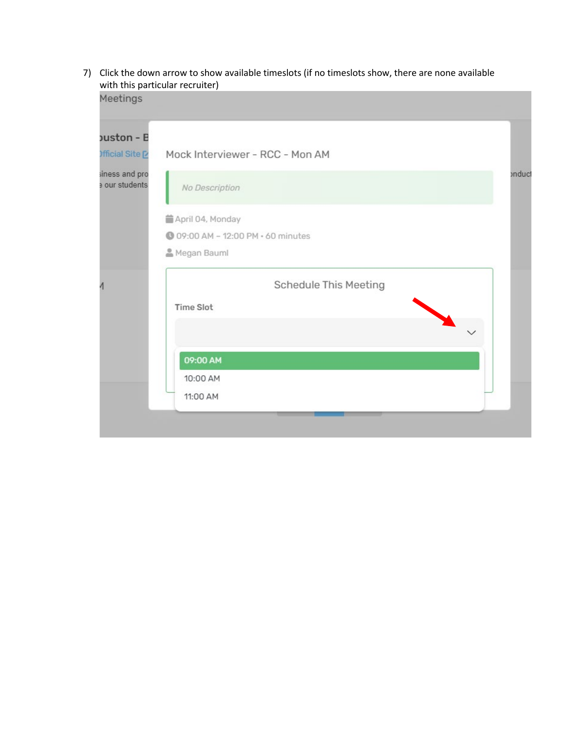7) Click the down arrow to show available timeslots (if no timeslots show, there are none available with this particular recruiter)<br>Meetings

| ouston - E                       |                                    |  |
|----------------------------------|------------------------------------|--|
| Official Site <sub>[2]</sub>     | Mock Interviewer - RCC - Mon AM    |  |
| siness and pro<br>e our students | No Description                     |  |
|                                  | April 04, Monday                   |  |
|                                  | 0 09:00 AM - 12:00 PM - 60 minutes |  |
|                                  | Megan Bauml                        |  |
|                                  | <b>Schedule This Meeting</b>       |  |
|                                  | <b>Time Slot</b>                   |  |
|                                  |                                    |  |
|                                  | 09:00 AM                           |  |
|                                  | 10:00 AM                           |  |
|                                  | 11:00 AM                           |  |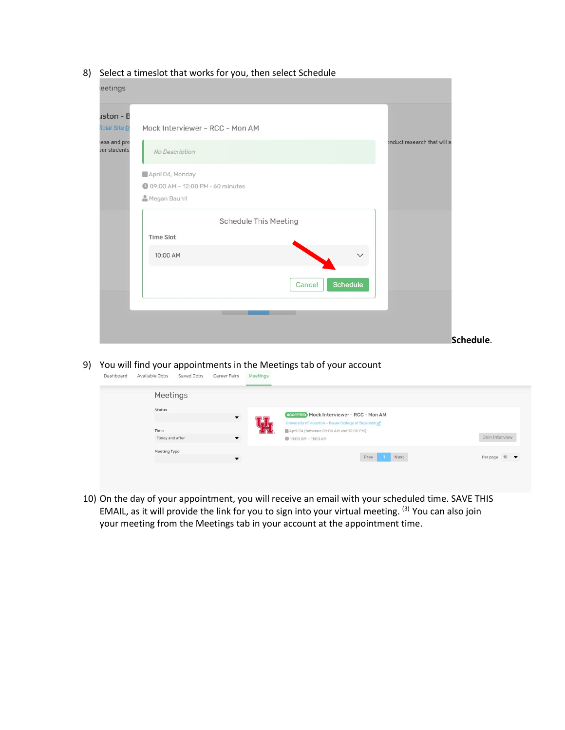|  |  | 8) Select a timeslot that works for you, then select Schedule |  |  |  |
|--|--|---------------------------------------------------------------|--|--|--|
|--|--|---------------------------------------------------------------|--|--|--|

| leetings                     |                                           |                              |
|------------------------------|-------------------------------------------|------------------------------|
| <b>uston - B</b>             |                                           |                              |
| ficial Site [2]              | Mock Interviewer - RCC - Mon AM           |                              |
| less and pro<br>our students | No Description                            | onduct research that will sl |
|                              | April 04, Monday                          |                              |
|                              | <b>0</b> 09:00 AM - 12:00 PM - 60 minutes |                              |
|                              | Megan Bauml                               |                              |
|                              | <b>Schedule This Meeting</b>              |                              |
|                              | <b>Time Slot</b>                          |                              |
|                              | 10:00 AM<br>$\checkmark$                  |                              |
|                              | Schedule<br>Cancel                        |                              |
|                              |                                           |                              |
|                              |                                           |                              |
|                              |                                           |                              |
|                              |                                           | Schedule.                    |

9) You will find your appointments in the Meetings tab of your account Dashboard Available Jobs Saved Jobs Career Fairs Meetings

| <u>.</u> | LIAMINMIA MAMM<br>--------- | <b>CALCOL</b> LAILS | $1100$ cm $190$ |                                                                                                   |                |
|----------|-----------------------------|---------------------|-----------------|---------------------------------------------------------------------------------------------------|----------------|
|          | Meetings                    |                     |                 |                                                                                                   |                |
|          | Status                      | ▼                   |                 | ACCEPTED Mock Interviewer - RCC - Mon AM                                                          |                |
|          | Time                        |                     | <u>i te l</u>   | University of Houston - Bauer College of Business [7]<br>April 04 (between 09:00 AM and 12:00 PM) |                |
|          | Today and after             | ▼                   |                 | <b>0</b> 10:00 AM - 11:00 AM                                                                      | Join Interview |
|          | Meeting Type                |                     |                 | Prev<br>Next<br>$\overline{1}$                                                                    | Per page $10$  |
|          |                             | ▼                   |                 |                                                                                                   |                |
|          |                             |                     |                 |                                                                                                   |                |

10) On the day of your appointment, you will receive an email with your scheduled time. SAVE THIS EMAIL, as it will provide the link for you to sign into your virtual meeting. (3) You can also join your meeting from the Meetings tab in your account at the appointment time.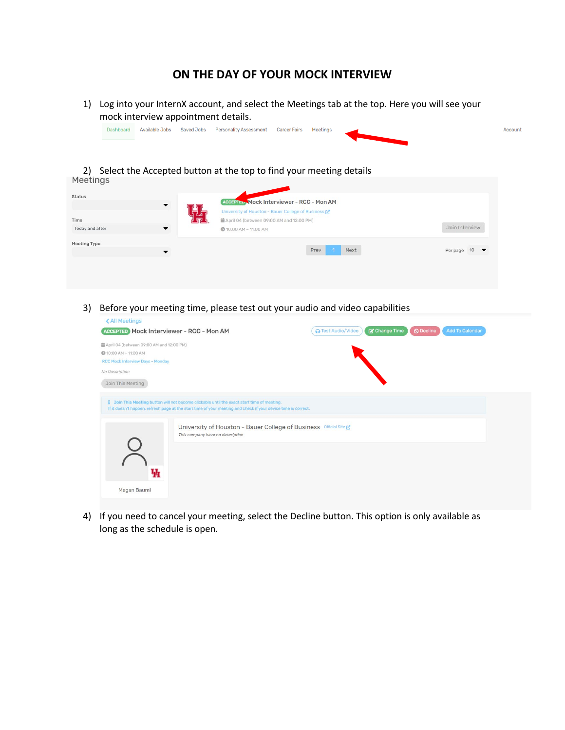## **ON THE DAY OF YOUR MOCK INTERVIEW**

1) Log into your InternX account, and select the Meetings tab at the top. Here you will see your mock interview appointment details.

|                         | Dashboard | <b>Available Jobs</b> | <b>Saved Jobs</b> | <b>Personality Assessment</b>                                                                     | <b>Career Fairs</b> | Meetings |      |                     | Account |
|-------------------------|-----------|-----------------------|-------------------|---------------------------------------------------------------------------------------------------|---------------------|----------|------|---------------------|---------|
| 2)<br>Meetings          |           |                       |                   | Select the Accepted button at the top to find your meeting details                                |                     |          |      |                     |         |
| <b>Status</b>           |           | ▼                     |                   | ACCEPTED Mock Interviewer - RCC - Mon AM<br>University of Houston - Bauer College of Business [7] |                     |          |      |                     |         |
| Time<br>Today and after |           | ▼                     |                   | April 04 (between 09:00 AM and 12:00 PM)<br><b>1</b> 0:00 AM - 11:00 AM                           |                     |          |      | Join Interview      |         |
| <b>Meeting Type</b>     |           |                       |                   |                                                                                                   |                     | Prev     | Next | 10<br>Per page<br>▼ |         |
|                         |           |                       |                   |                                                                                                   |                     |          |      |                     |         |
|                         |           |                       |                   |                                                                                                   |                     |          |      |                     |         |

3) Before your meeting time, please test out your audio and video capabilities

| K All Meetings                                  |                                                                                                     | O Decline<br><b>O</b> Test Audio/Video<br><b>Add To Calendar</b> |
|-------------------------------------------------|-----------------------------------------------------------------------------------------------------|------------------------------------------------------------------|
| <b>ACCEPTED</b> Mock Interviewer - RCC - Mon AM |                                                                                                     | Change Time                                                      |
| April 04 (between 09:00 AM and 12:00 PM)        |                                                                                                     |                                                                  |
| <b>1</b> 0:00 AM - 11:00 AM                     |                                                                                                     |                                                                  |
| RCC Mock Interview Days - Monday                |                                                                                                     |                                                                  |
| No Description                                  |                                                                                                     |                                                                  |
| Join This Meeting                               |                                                                                                     |                                                                  |
|                                                 | University of Houston - Bauer College of Business Official Site<br>This company have no description |                                                                  |
| 吜                                               |                                                                                                     |                                                                  |

4) If you need to cancel your meeting, select the Decline button. This option is only available as long as the schedule is open.